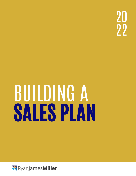20 22

# BUILDING A SALES PLAN

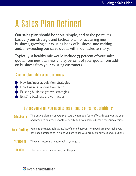## A Sales Plan Defined

Our sales plan should be short, simple, and to the point. It's basically our strategic and tactical plan for acquiring new business, growing our existing book of business, and making and/or exceeding our sales quota within our sales territory.

Typically, a healthy mix would include 75 percent of your sales quota from new business and 25 percent of your quota from addon business from your existing customers.

#### A sales plan addresses four areas:

- New business acquisition strategies
- New business acquisition tactics
- Existing business growth strategies
- Existing business growth tactics

#### Before you start, you need to get a handle on some definitions:

This critical element of your plan sets the tempo of your efforts throughout the year and provides quarterly, monthly, weekly and even daily sub-goals for you to achieve. Refers to the geographic area, list of named accounts or specific market niche you have been assigned to in which you are to sell your products, services and solutions. The plan necessary to accomplish your goal. The steps necessary to carry out the plan. **Sales Quota Sales Territory Strategies Tactics**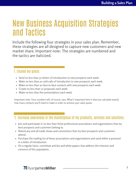### New Business Acquisition Strategies and Tactics

Include the following four strategies in your sales plan. Remember, these strategies are all designed to capture new customers and new market share. Important note: The strategies are numbered and the tactics are italicized.

#### 1. Exceed my quota.

- Send no less than 50 letters of introduction to new prospects each week.
- Make no less than 50 cold calls of introduction to new prospects each week.
- Make no less than 20 face-to-face contacts with new prospects each week.
- Create no less than 10 proposals each week.
- Make no less than five presentations each week.

Important note: Your numbers will, of course, vary. What's important here is that you calculate exactly how many contacts you'll need to make in order to achieve your sales quota.

#### 2. Increase awareness in the marketplace of my products, services and solutions.

- Join and participate in no less than three professional associations and organizations that my best prospects and customers belong to.
- Attend any and all trade shows and conventions that my best prospects and customers attend.
- Purchase the mailing list of these associations and organizations and send either a postcard or a letter of introduction.
- On a regular basis, contribute articles and white papers that address the interests and concerns of this population.

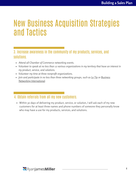### New Business Acquisition Strategies and Tactics

3. Increase awareness in the community of my products, services, and solutions.

- *Attend all Chamber of Commerce networking events.*
- *Volunteer to speak at no less than 12 various organizations in my territory that have an interest in my product, service, and solutions.*
- *Volunteer my time at three nonprofit organizations.*
- *[Join and participate in no less than three networking groups, such as L](http://www.bni.com/)[e Tip](http://www.letip.com/) [or Business](http://www.bni.com/) Networking International.*

#### 4. Obtain referrals from all my new customers.

Within 30 days of delivering my product, service, or solution, I will ask each of my new customers for at least three names and phone numbers of someone they personally know who may have a use for my products, services, and solutions.

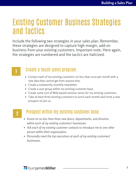### Existing Customer Business Strategies and Tactics

Include the following two strategies in your sales plan. Remember, these strategies are designed to capture high-margin, add-on business from your existing customers. Important note: Here again, the strategies are numbered and the tactics are italicized.



#### Create a touch-point program. **1**

- Contact each of my existing customers no less than once per month with a new idea they cannot get from anyone else.
- Create a noteworthy monthly newsletter.
- Create a user group within my existing customer base.
- Create some sort of Web-based seminar series for my existing customers.
- Take at least three existing customers to lunch each month and invite a new prospect to join us.

### Prospect within my existing customer base. **2**

- *Knock on no less than three new doors, departments, and divisions within each of my existing customers' businesses.*
- *Ask each of my existing customer contacts to introduce me to one other person within their organization.*
- *Personally meet the top executives at each of my existing customers' businesses.*

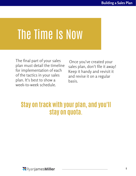# The Time Is Now

The final part of your sales plan must detail the timeline for implementation of each of the tactics in your sales plan. It's best to show a week-to-week schedule.

 Once you've created your sales plan, don't file it away! Keep it handy and revisit it and revise it on a regular basis.

### **Stay on track with your plan, and you'll stay on quota.**